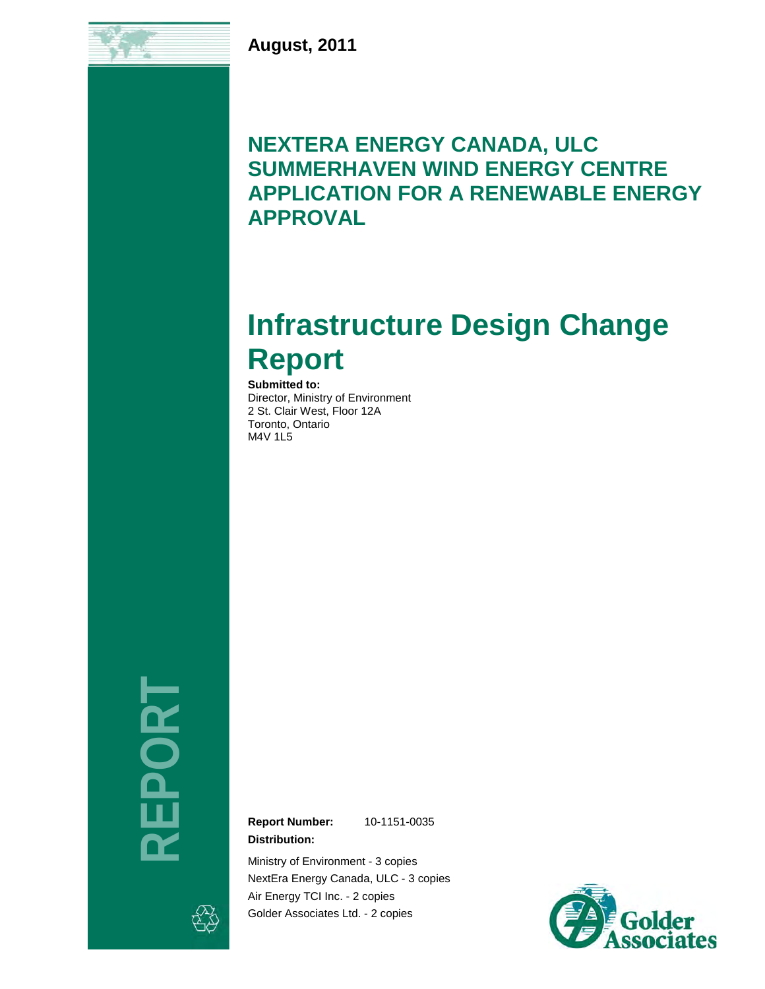**August, 2011**

# **NEXTERA ENERGY CANADA, ULC SUMMERHAVEN WIND ENERGY CENTRE APPLICATION FOR A RENEWABLE ENERGY APPROVAL**

# **Infrastructure Design Change Report**

**Submitted to:** Director, Ministry of Environment 2 St. Clair West, Floor 12A Toronto, Ontario M4V 1L5

**REPORT** 

**Report Number:** 10-1151-0035

**Distribution:**

Ministry of Environment - 3 copies NextEra Energy Canada, ULC - 3 copies Air Energy TCI Inc. - 2 copies Golder Associates Ltd. - 2 copies

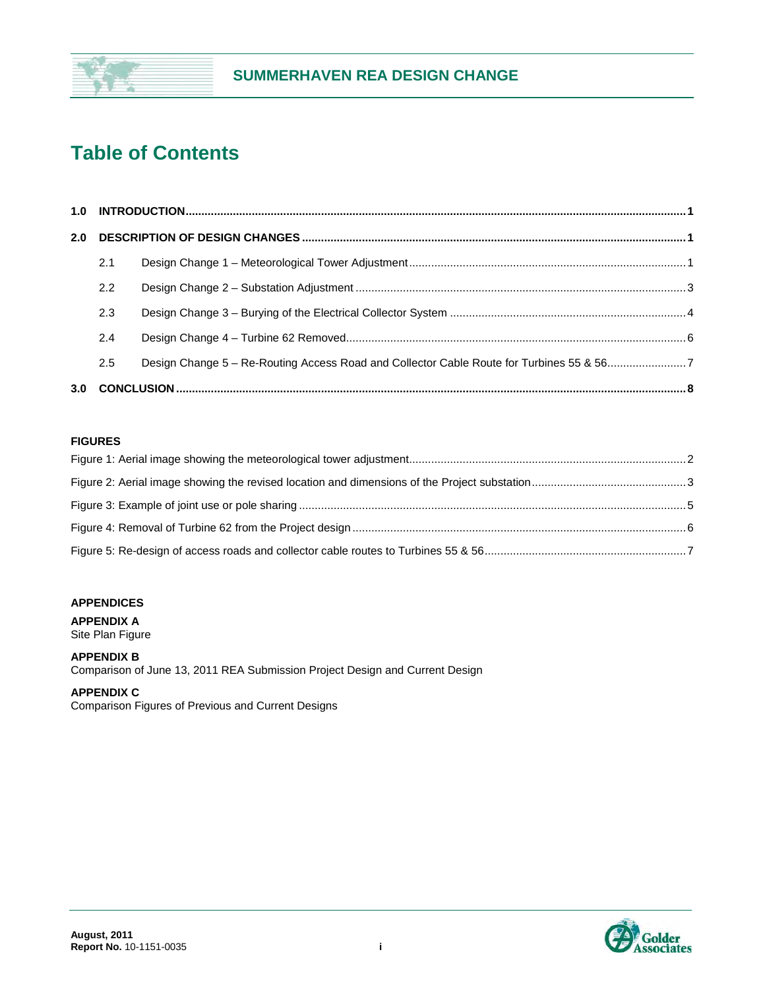

# **Table of Contents**

| 2.0 |     |                                                                                          |  |
|-----|-----|------------------------------------------------------------------------------------------|--|
|     | 2.1 |                                                                                          |  |
|     | 2.2 |                                                                                          |  |
|     | 2.3 |                                                                                          |  |
|     | 2.4 |                                                                                          |  |
|     | 2.5 | Design Change 5 - Re-Routing Access Road and Collector Cable Route for Turbines 55 & 567 |  |
|     |     |                                                                                          |  |

#### **FIGURES**

#### **APPENDICES**

**APPENDIX A**

Site Plan Figure

#### **APPENDIX B** Comparison of June 13, 2011 REA Submission Project Design and Current Design

#### **APPENDIX C**

Comparison Figures of Previous and Current Designs

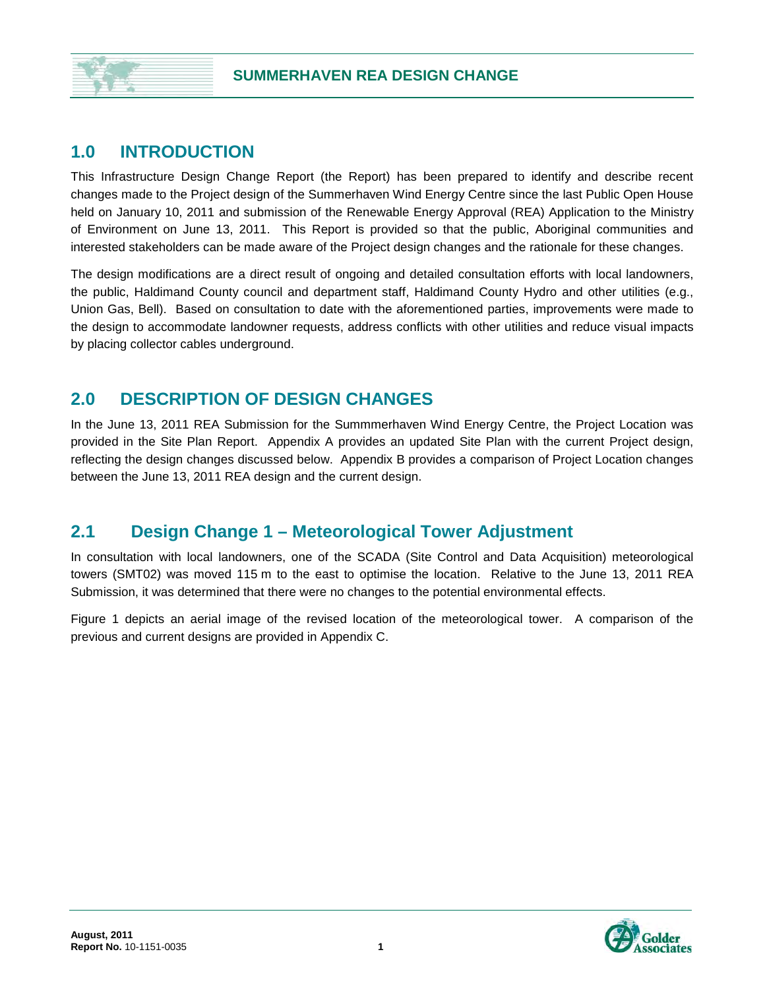#### **1.0 INTRODUCTION**

This Infrastructure Design Change Report (the Report) has been prepared to identify and describe recent changes made to the Project design of the Summerhaven Wind Energy Centre since the last Public Open House held on January 10, 2011 and submission of the Renewable Energy Approval (REA) Application to the Ministry of Environment on June 13, 2011. This Report is provided so that the public, Aboriginal communities and interested stakeholders can be made aware of the Project design changes and the rationale for these changes.

The design modifications are a direct result of ongoing and detailed consultation efforts with local landowners, the public, Haldimand County council and department staff, Haldimand County Hydro and other utilities (e.g., Union Gas, Bell). Based on consultation to date with the aforementioned parties, improvements were made to the design to accommodate landowner requests, address conflicts with other utilities and reduce visual impacts by placing collector cables underground.

### **2.0 DESCRIPTION OF DESIGN CHANGES**

In the June 13, 2011 REA Submission for the Summmerhaven Wind Energy Centre, the Project Location was provided in the Site Plan Report. Appendix A provides an updated Site Plan with the current Project design, reflecting the design changes discussed below. Appendix B provides a comparison of Project Location changes between the June 13, 2011 REA design and the current design.

#### **2.1 Design Change 1 – Meteorological Tower Adjustment**

In consultation with local landowners, one of the SCADA (Site Control and Data Acquisition) meteorological towers (SMT02) was moved 115 m to the east to optimise the location. Relative to the June 13, 2011 REA Submission, it was determined that there were no changes to the potential environmental effects.

Figure 1 depicts an aerial image of the revised location of the meteorological tower. A comparison of the previous and current designs are provided in Appendix C.

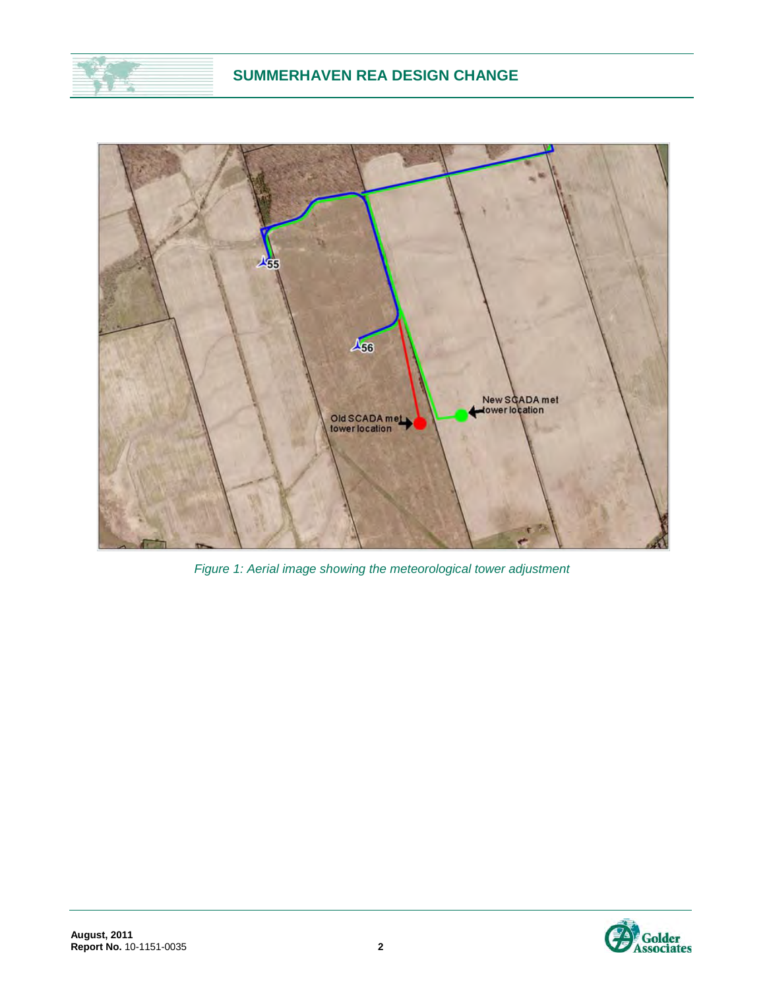

*Figure 1: Aerial image showing the meteorological tower adjustment*

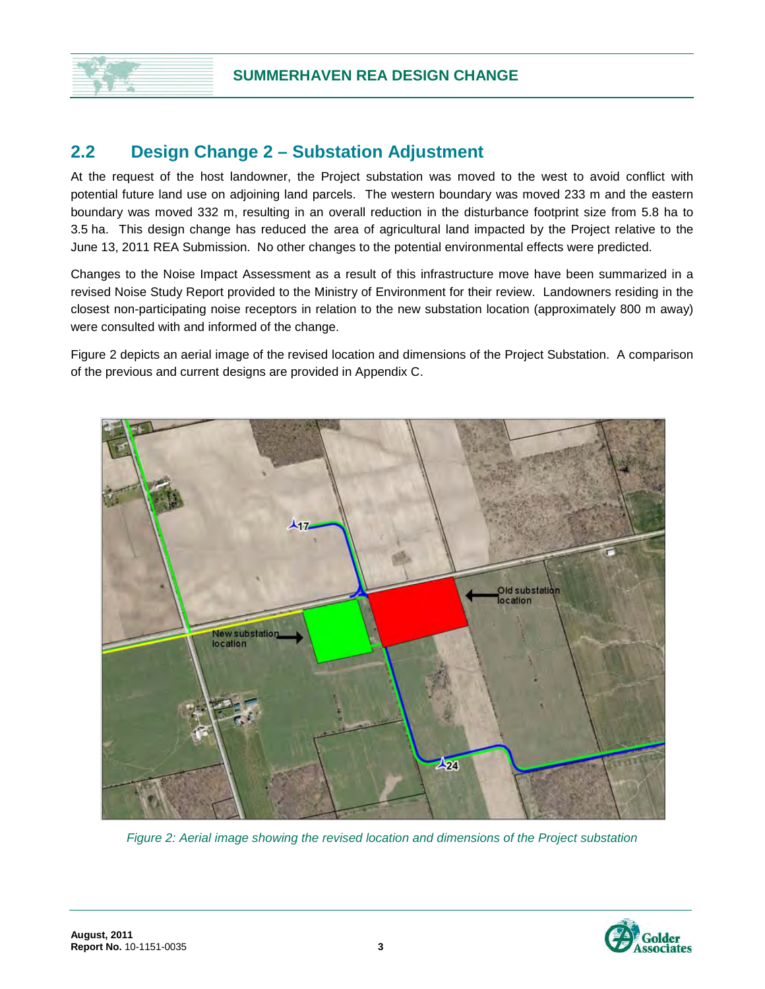### **2.2 Design Change 2 – Substation Adjustment**

At the request of the host landowner, the Project substation was moved to the west to avoid conflict with potential future land use on adjoining land parcels. The western boundary was moved 233 m and the eastern boundary was moved 332 m, resulting in an overall reduction in the disturbance footprint size from 5.8 ha to 3.5 ha. This design change has reduced the area of agricultural land impacted by the Project relative to the June 13, 2011 REA Submission. No other changes to the potential environmental effects were predicted.

Changes to the Noise Impact Assessment as a result of this infrastructure move have been summarized in a revised Noise Study Report provided to the Ministry of Environment for their review. Landowners residing in the closest non-participating noise receptors in relation to the new substation location (approximately 800 m away) were consulted with and informed of the change.

Figure 2 depicts an aerial image of the revised location and dimensions of the Project Substation. A comparison of the previous and current designs are provided in Appendix C.



*Figure 2: Aerial image showing the revised location and dimensions of the Project substation*

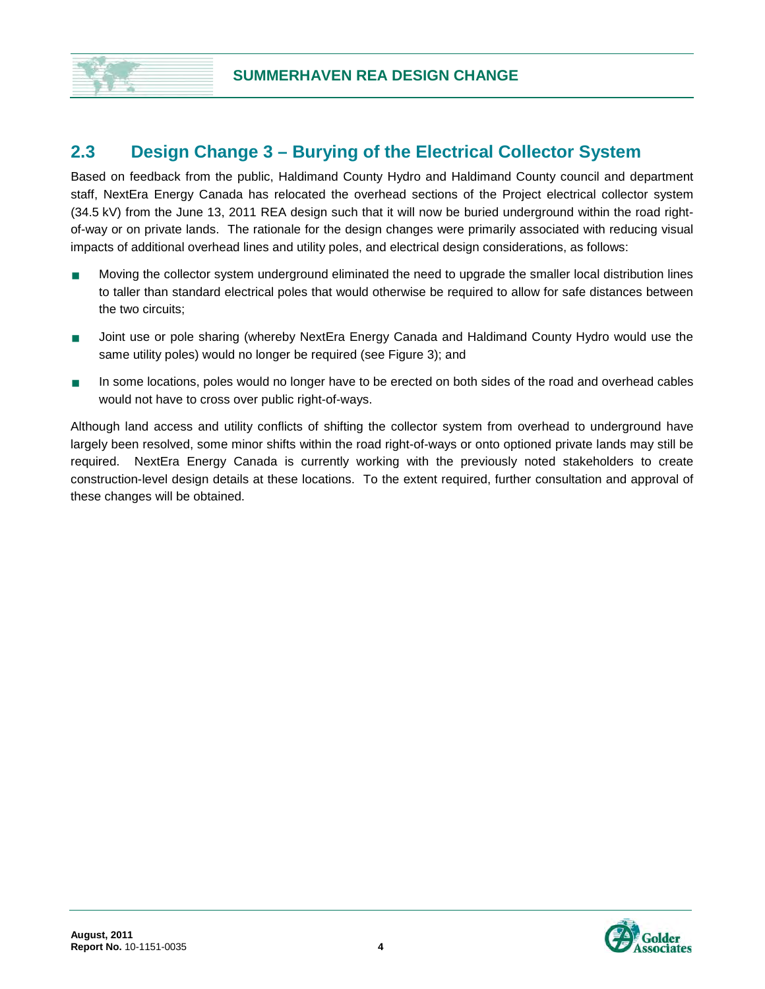### **2.3 Design Change 3 – Burying of the Electrical Collector System**

Based on feedback from the public, Haldimand County Hydro and Haldimand County council and department staff, NextEra Energy Canada has relocated the overhead sections of the Project electrical collector system (34.5 kV) from the June 13, 2011 REA design such that it will now be buried underground within the road rightof-way or on private lands. The rationale for the design changes were primarily associated with reducing visual impacts of additional overhead lines and utility poles, and electrical design considerations, as follows:

- Moving the collector system underground eliminated the need to upgrade the smaller local distribution lines to taller than standard electrical poles that would otherwise be required to allow for safe distances between the two circuits;
- **Joint use or pole sharing (whereby NextEra Energy Canada and Haldimand County Hydro would use the** same utility poles) would no longer be required (see Figure 3); and
- In some locations, poles would no longer have to be erected on both sides of the road and overhead cables would not have to cross over public right-of-ways.

Although land access and utility conflicts of shifting the collector system from overhead to underground have largely been resolved, some minor shifts within the road right-of-ways or onto optioned private lands may still be required. NextEra Energy Canada is currently working with the previously noted stakeholders to create construction-level design details at these locations. To the extent required, further consultation and approval of these changes will be obtained.

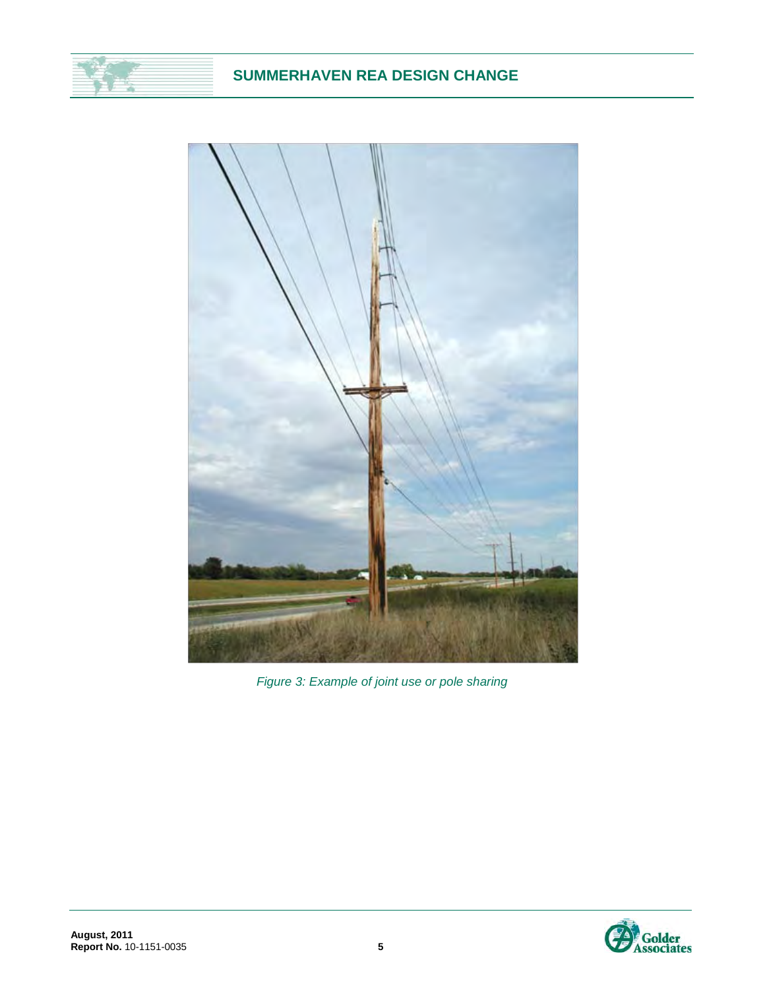#### **SUMMERHAVEN REA DESIGN CHANGE**



*Figure 3: Example of joint use or pole sharing*

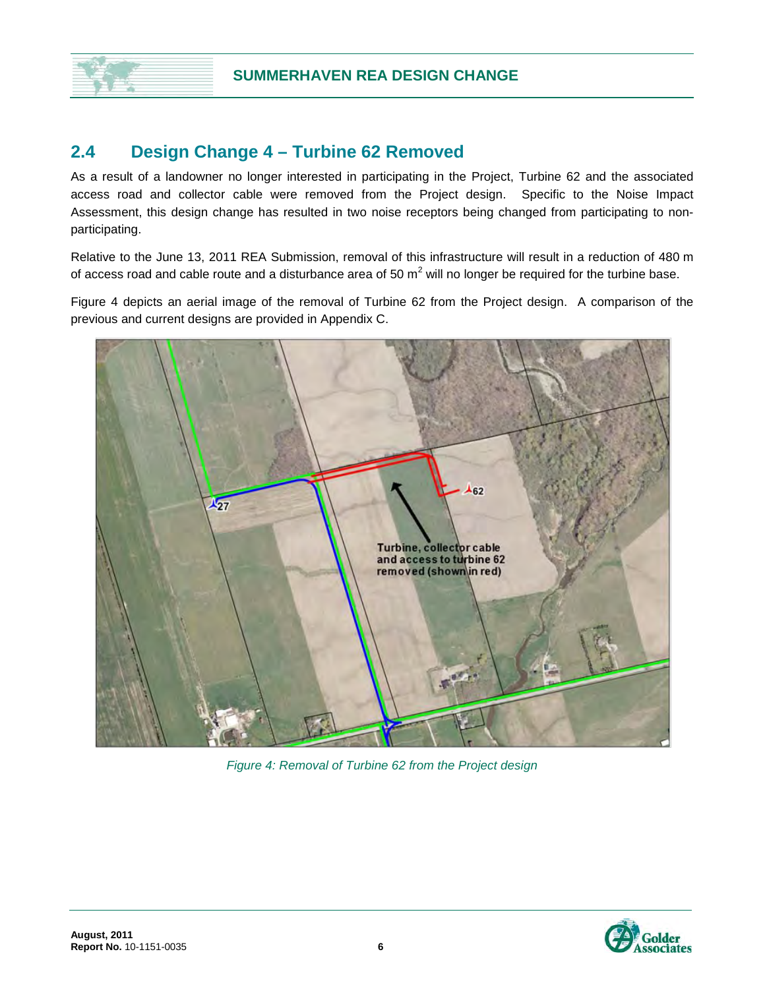### **2.4 Design Change 4 – Turbine 62 Removed**

As a result of a landowner no longer interested in participating in the Project, Turbine 62 and the associated access road and collector cable were removed from the Project design. Specific to the Noise Impact Assessment, this design change has resulted in two noise receptors being changed from participating to nonparticipating.

Relative to the June 13, 2011 REA Submission, removal of this infrastructure will result in a reduction of 480 m of access road and cable route and a disturbance area of 50  $m^2$  will no longer be required for the turbine base.

Figure 4 depicts an aerial image of the removal of Turbine 62 from the Project design. A comparison of the previous and current designs are provided in Appendix C.



*Figure 4: Removal of Turbine 62 from the Project design*

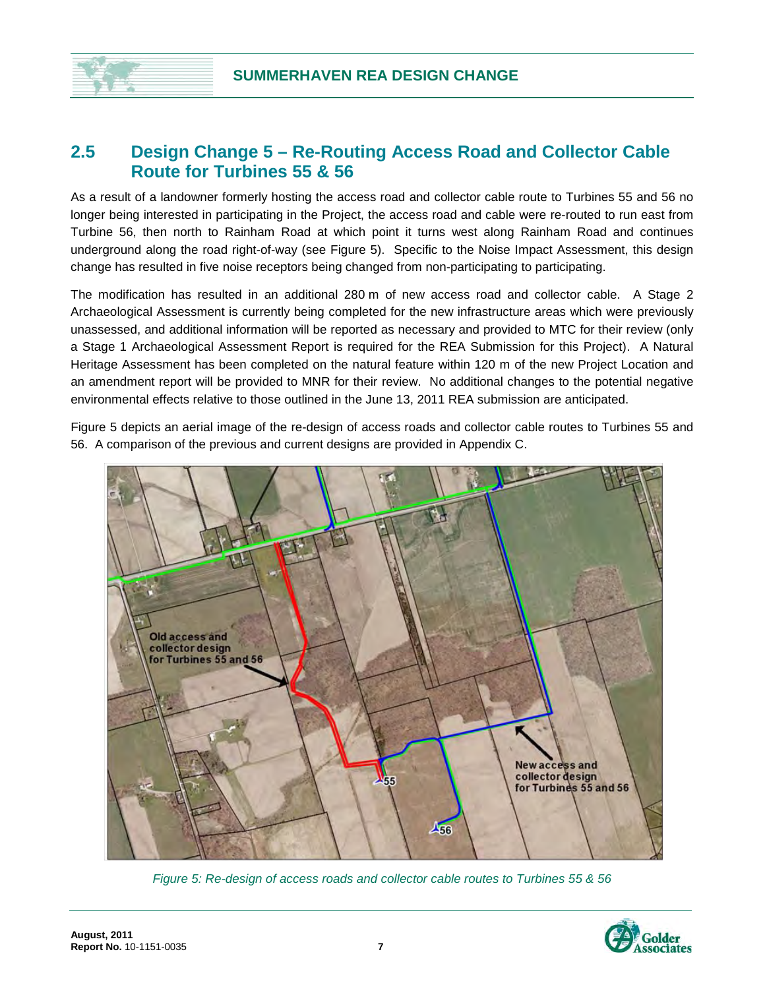#### **2.5 Design Change 5 – Re-Routing Access Road and Collector Cable Route for Turbines 55 & 56**

As a result of a landowner formerly hosting the access road and collector cable route to Turbines 55 and 56 no longer being interested in participating in the Project, the access road and cable were re-routed to run east from Turbine 56, then north to Rainham Road at which point it turns west along Rainham Road and continues underground along the road right-of-way (see Figure 5). Specific to the Noise Impact Assessment, this design change has resulted in five noise receptors being changed from non-participating to participating.

The modification has resulted in an additional 280 m of new access road and collector cable. A Stage 2 Archaeological Assessment is currently being completed for the new infrastructure areas which were previously unassessed, and additional information will be reported as necessary and provided to MTC for their review (only a Stage 1 Archaeological Assessment Report is required for the REA Submission for this Project). A Natural Heritage Assessment has been completed on the natural feature within 120 m of the new Project Location and an amendment report will be provided to MNR for their review. No additional changes to the potential negative environmental effects relative to those outlined in the June 13, 2011 REA submission are anticipated.

Figure 5 depicts an aerial image of the re-design of access roads and collector cable routes to Turbines 55 and 56. A comparison of the previous and current designs are provided in Appendix C.



*Figure 5: Re-design of access roads and collector cable routes to Turbines 55 & 56*

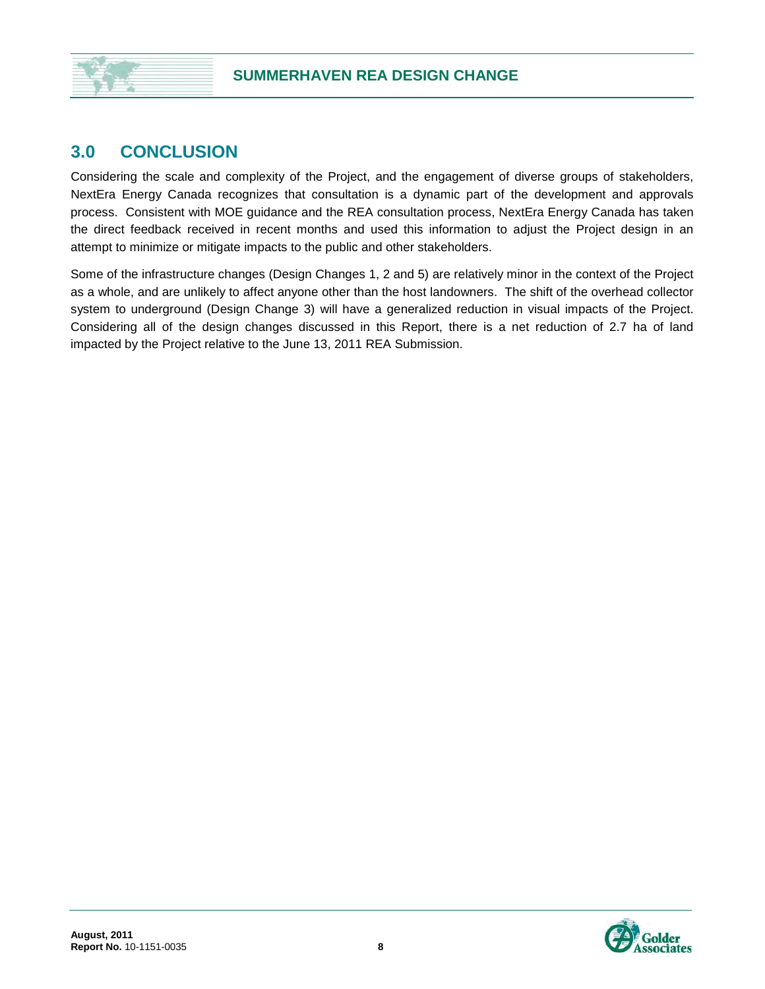#### **3.0 CONCLUSION**

Considering the scale and complexity of the Project, and the engagement of diverse groups of stakeholders, NextEra Energy Canada recognizes that consultation is a dynamic part of the development and approvals process. Consistent with MOE guidance and the REA consultation process, NextEra Energy Canada has taken the direct feedback received in recent months and used this information to adjust the Project design in an attempt to minimize or mitigate impacts to the public and other stakeholders.

Some of the infrastructure changes (Design Changes 1, 2 and 5) are relatively minor in the context of the Project as a whole, and are unlikely to affect anyone other than the host landowners. The shift of the overhead collector system to underground (Design Change 3) will have a generalized reduction in visual impacts of the Project. Considering all of the design changes discussed in this Report, there is a net reduction of 2.7 ha of land impacted by the Project relative to the June 13, 2011 REA Submission.